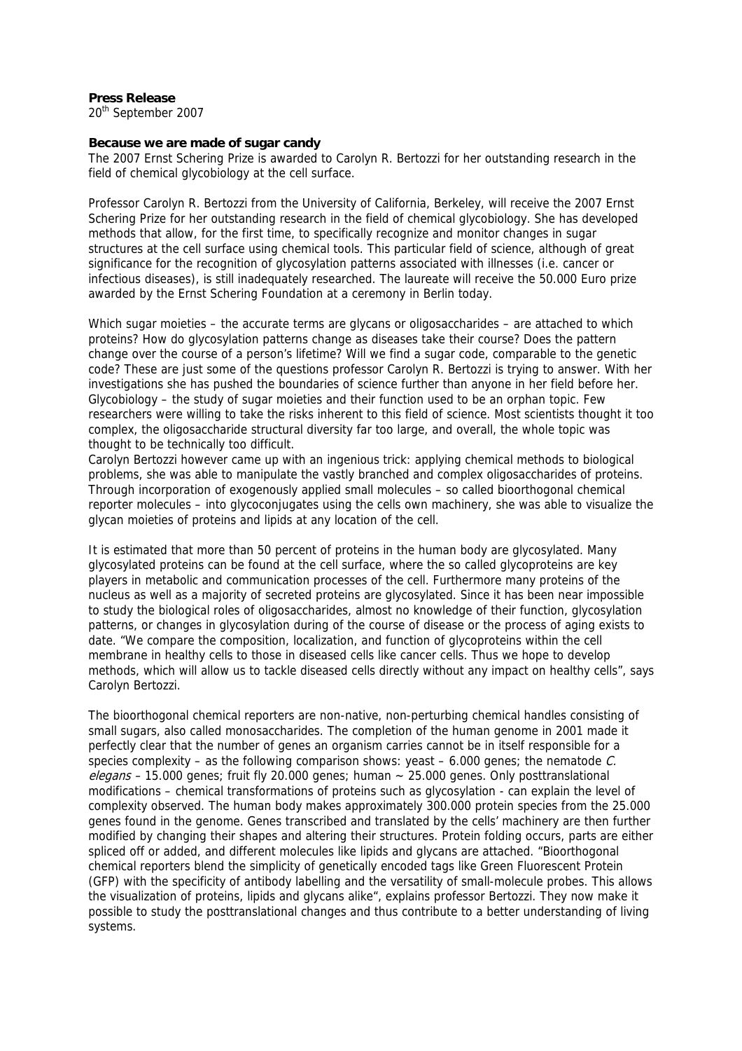## **Press Release**

20th September 2007

## **Because we are made of sugar candy**

The 2007 Ernst Schering Prize is awarded to Carolyn R. Bertozzi for her outstanding research in the field of chemical glycobiology at the cell surface.

Professor Carolyn R. Bertozzi from the University of California, Berkeley, will receive the 2007 Ernst Schering Prize for her outstanding research in the field of chemical glycobiology. She has developed methods that allow, for the first time, to specifically recognize and monitor changes in sugar structures at the cell surface using chemical tools. This particular field of science, although of great significance for the recognition of glycosylation patterns associated with illnesses (i.e. cancer or infectious diseases), is still inadequately researched. The laureate will receive the 50.000 Euro prize awarded by the Ernst Schering Foundation at a ceremony in Berlin today.

Which sugar moieties – the accurate terms are glycans or oligosaccharides – are attached to which proteins? How do glycosylation patterns change as diseases take their course? Does the pattern change over the course of a person's lifetime? Will we find a sugar code, comparable to the genetic code? These are just some of the questions professor Carolyn R. Bertozzi is trying to answer. With her investigations she has pushed the boundaries of science further than anyone in her field before her. Glycobiology – the study of sugar moieties and their function used to be an orphan topic. Few researchers were willing to take the risks inherent to this field of science. Most scientists thought it too complex, the oligosaccharide structural diversity far too large, and overall, the whole topic was thought to be technically too difficult.

Carolyn Bertozzi however came up with an ingenious trick: applying chemical methods to biological problems, she was able to manipulate the vastly branched and complex oligosaccharides of proteins. Through incorporation of exogenously applied small molecules – so called bioorthogonal chemical reporter molecules – into glycoconjugates using the cells own machinery, she was able to visualize the glycan moieties of proteins and lipids at any location of the cell.

It is estimated that more than 50 percent of proteins in the human body are glycosylated. Many glycosylated proteins can be found at the cell surface, where the so called glycoproteins are key players in metabolic and communication processes of the cell. Furthermore many proteins of the nucleus as well as a majority of secreted proteins are glycosylated. Since it has been near impossible to study the biological roles of oligosaccharides, almost no knowledge of their function, glycosylation patterns, or changes in glycosylation during of the course of disease or the process of aging exists to date. "We compare the composition, localization, and function of glycoproteins within the cell membrane in healthy cells to those in diseased cells like cancer cells. Thus we hope to develop methods, which will allow us to tackle diseased cells directly without any impact on healthy cells", says Carolyn Bertozzi.

The bioorthogonal chemical reporters are non-native, non-perturbing chemical handles consisting of small sugars, also called monosaccharides. The completion of the human genome in 2001 made it perfectly clear that the number of genes an organism carries cannot be in itself responsible for a species complexity – as the following comparison shows: yeast – 6.000 genes; the nematode  $C$ .  $eleqans - 15.000$  genes; fruit fly 20.000 genes; human  $\sim$  25.000 genes. Only posttranslational modifications – chemical transformations of proteins such as glycosylation - can explain the level of complexity observed. The human body makes approximately 300.000 protein species from the 25.000 genes found in the genome. Genes transcribed and translated by the cells' machinery are then further modified by changing their shapes and altering their structures. Protein folding occurs, parts are either spliced off or added, and different molecules like lipids and glycans are attached. "Bioorthogonal chemical reporters blend the simplicity of genetically encoded tags like Green Fluorescent Protein (GFP) with the specificity of antibody labelling and the versatility of small-molecule probes. This allows the visualization of proteins, lipids and glycans alike", explains professor Bertozzi. They now make it possible to study the posttranslational changes and thus contribute to a better understanding of living systems.